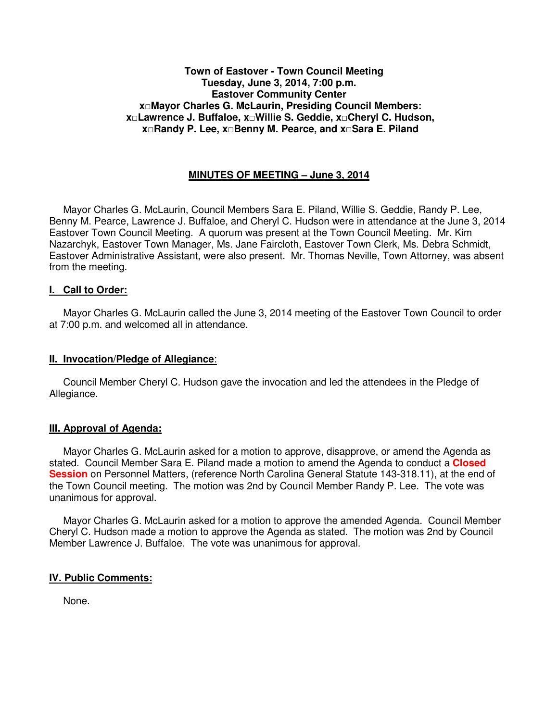#### **Town of Eastover - Town Council Meeting Tuesday, June 3, 2014, 7:00 p.m. Eastover Community Center x□Mayor Charles G. McLaurin, Presiding Council Members: x□Lawrence J. Buffaloe, x□Willie S. Geddie, x□Cheryl C. Hudson, x□Randy P. Lee, x□Benny M. Pearce, and x□Sara E. Piland**

## **MINUTES OF MEETING – June 3, 2014**

 Mayor Charles G. McLaurin, Council Members Sara E. Piland, Willie S. Geddie, Randy P. Lee, Benny M. Pearce, Lawrence J. Buffaloe, and Cheryl C. Hudson were in attendance at the June 3, 2014 Eastover Town Council Meeting. A quorum was present at the Town Council Meeting. Mr. Kim Nazarchyk, Eastover Town Manager, Ms. Jane Faircloth, Eastover Town Clerk, Ms. Debra Schmidt, Eastover Administrative Assistant, were also present. Mr. Thomas Neville, Town Attorney, was absent from the meeting.

#### **I. Call to Order:**

 Mayor Charles G. McLaurin called the June 3, 2014 meeting of the Eastover Town Council to order at 7:00 p.m. and welcomed all in attendance.

#### **II. Invocation/Pledge of Allegiance**:

 Council Member Cheryl C. Hudson gave the invocation and led the attendees in the Pledge of Allegiance.

### **III. Approval of Agenda:**

 Mayor Charles G. McLaurin asked for a motion to approve, disapprove, or amend the Agenda as stated. Council Member Sara E. Piland made a motion to amend the Agenda to conduct a **Closed Session** on Personnel Matters, (reference North Carolina General Statute 143-318.11), at the end of the Town Council meeting. The motion was 2nd by Council Member Randy P. Lee. The vote was unanimous for approval.

 Mayor Charles G. McLaurin asked for a motion to approve the amended Agenda. Council Member Cheryl C. Hudson made a motion to approve the Agenda as stated. The motion was 2nd by Council Member Lawrence J. Buffaloe. The vote was unanimous for approval.

### **IV. Public Comments:**

None.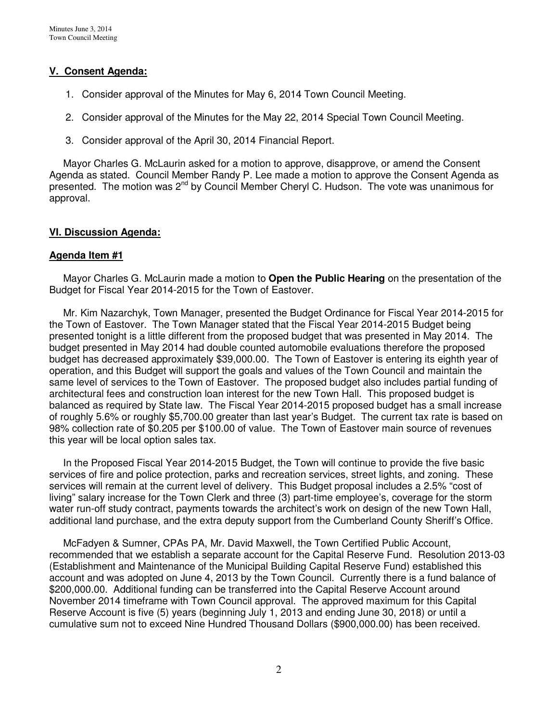## **V. Consent Agenda:**

- 1. Consider approval of the Minutes for May 6, 2014 Town Council Meeting.
- 2. Consider approval of the Minutes for the May 22, 2014 Special Town Council Meeting.
- 3. Consider approval of the April 30, 2014 Financial Report.

 Mayor Charles G. McLaurin asked for a motion to approve, disapprove, or amend the Consent Agenda as stated. Council Member Randy P. Lee made a motion to approve the Consent Agenda as presented. The motion was 2<sup>nd</sup> by Council Member Cheryl C. Hudson. The vote was unanimous for approval.

#### **VI. Discussion Agenda:**

#### **Agenda Item #1**

Mayor Charles G. McLaurin made a motion to **Open the Public Hearing** on the presentation of the Budget for Fiscal Year 2014-2015 for the Town of Eastover.

 Mr. Kim Nazarchyk, Town Manager, presented the Budget Ordinance for Fiscal Year 2014-2015 for the Town of Eastover. The Town Manager stated that the Fiscal Year 2014-2015 Budget being presented tonight is a little different from the proposed budget that was presented in May 2014. The budget presented in May 2014 had double counted automobile evaluations therefore the proposed budget has decreased approximately \$39,000.00. The Town of Eastover is entering its eighth year of operation, and this Budget will support the goals and values of the Town Council and maintain the same level of services to the Town of Eastover. The proposed budget also includes partial funding of architectural fees and construction loan interest for the new Town Hall. This proposed budget is balanced as required by State law. The Fiscal Year 2014-2015 proposed budget has a small increase of roughly 5.6% or roughly \$5,700.00 greater than last year's Budget. The current tax rate is based on 98% collection rate of \$0.205 per \$100.00 of value. The Town of Eastover main source of revenues this year will be local option sales tax.

 In the Proposed Fiscal Year 2014-2015 Budget, the Town will continue to provide the five basic services of fire and police protection, parks and recreation services, street lights, and zoning. These services will remain at the current level of delivery. This Budget proposal includes a 2.5% "cost of living" salary increase for the Town Clerk and three (3) part-time employee's, coverage for the storm water run-off study contract, payments towards the architect's work on design of the new Town Hall, additional land purchase, and the extra deputy support from the Cumberland County Sheriff's Office.

 McFadyen & Sumner, CPAs PA, Mr. David Maxwell, the Town Certified Public Account, recommended that we establish a separate account for the Capital Reserve Fund. Resolution 2013-03 (Establishment and Maintenance of the Municipal Building Capital Reserve Fund) established this account and was adopted on June 4, 2013 by the Town Council. Currently there is a fund balance of \$200,000.00. Additional funding can be transferred into the Capital Reserve Account around November 2014 timeframe with Town Council approval. The approved maximum for this Capital Reserve Account is five (5) years (beginning July 1, 2013 and ending June 30, 2018) or until a cumulative sum not to exceed Nine Hundred Thousand Dollars (\$900,000.00) has been received.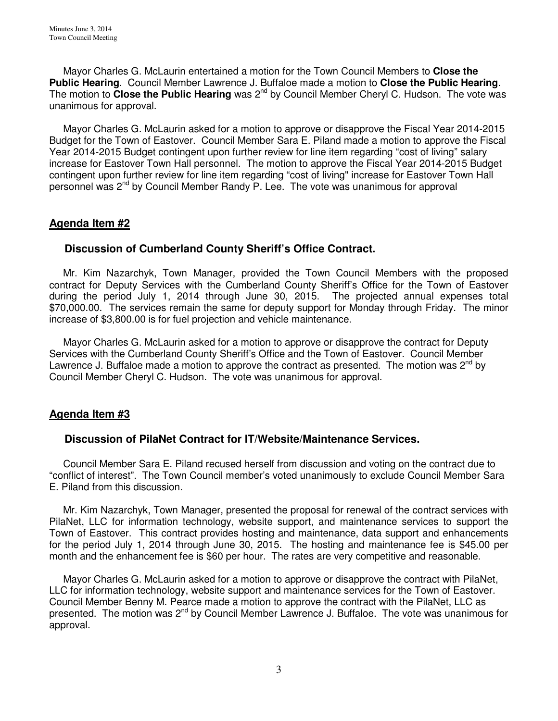Mayor Charles G. McLaurin entertained a motion for the Town Council Members to **Close the Public Hearing**. Council Member Lawrence J. Buffaloe made a motion to **Close the Public Hearing**. The motion to **Close the Public Hearing** was 2<sup>nd</sup> by Council Member Cheryl C. Hudson. The vote was unanimous for approval.

 Mayor Charles G. McLaurin asked for a motion to approve or disapprove the Fiscal Year 2014-2015 Budget for the Town of Eastover. Council Member Sara E. Piland made a motion to approve the Fiscal Year 2014-2015 Budget contingent upon further review for line item regarding "cost of living" salary increase for Eastover Town Hall personnel. The motion to approve the Fiscal Year 2014-2015 Budget contingent upon further review for line item regarding "cost of living" increase for Eastover Town Hall personnel was 2<sup>nd</sup> by Council Member Randy P. Lee. The vote was unanimous for approval

# **Agenda Item #2**

## **Discussion of Cumberland County Sheriff's Office Contract.**

 Mr. Kim Nazarchyk, Town Manager, provided the Town Council Members with the proposed contract for Deputy Services with the Cumberland County Sheriff's Office for the Town of Eastover during the period July 1, 2014 through June 30, 2015. The projected annual expenses total \$70,000.00. The services remain the same for deputy support for Monday through Friday. The minor increase of \$3,800.00 is for fuel projection and vehicle maintenance.

 Mayor Charles G. McLaurin asked for a motion to approve or disapprove the contract for Deputy Services with the Cumberland County Sheriff's Office and the Town of Eastover. Council Member Lawrence J. Buffaloe made a motion to approve the contract as presented. The motion was  $2^{nd}$  by Council Member Cheryl C. Hudson. The vote was unanimous for approval.

## **Agenda Item #3**

## **Discussion of PilaNet Contract for IT/Website/Maintenance Services.**

 Council Member Sara E. Piland recused herself from discussion and voting on the contract due to "conflict of interest". The Town Council member's voted unanimously to exclude Council Member Sara E. Piland from this discussion.

 Mr. Kim Nazarchyk, Town Manager, presented the proposal for renewal of the contract services with PilaNet, LLC for information technology, website support, and maintenance services to support the Town of Eastover. This contract provides hosting and maintenance, data support and enhancements for the period July 1, 2014 through June 30, 2015. The hosting and maintenance fee is \$45.00 per month and the enhancement fee is \$60 per hour. The rates are very competitive and reasonable.

 Mayor Charles G. McLaurin asked for a motion to approve or disapprove the contract with PilaNet, LLC for information technology, website support and maintenance services for the Town of Eastover. Council Member Benny M. Pearce made a motion to approve the contract with the PilaNet, LLC as presented. The motion was 2<sup>nd</sup> by Council Member Lawrence J. Buffaloe. The vote was unanimous for approval.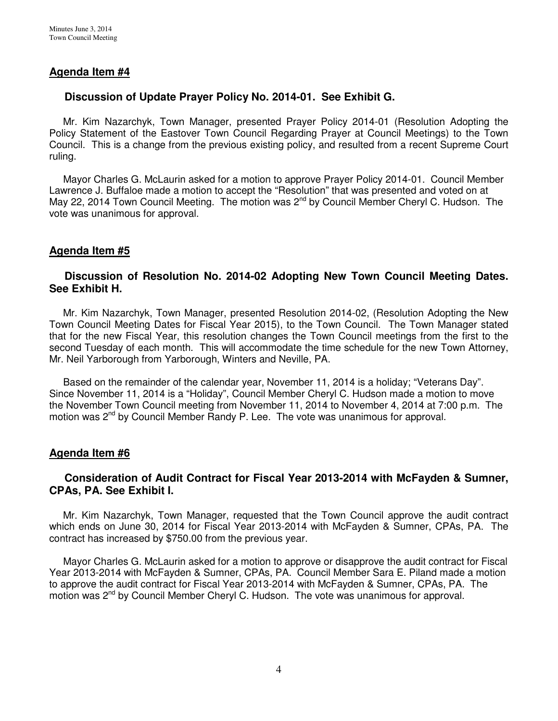## **Agenda Item #4**

## **Discussion of Update Prayer Policy No. 2014-01. See Exhibit G.**

 Mr. Kim Nazarchyk, Town Manager, presented Prayer Policy 2014-01 (Resolution Adopting the Policy Statement of the Eastover Town Council Regarding Prayer at Council Meetings) to the Town Council. This is a change from the previous existing policy, and resulted from a recent Supreme Court ruling.

 Mayor Charles G. McLaurin asked for a motion to approve Prayer Policy 2014-01. Council Member Lawrence J. Buffaloe made a motion to accept the "Resolution" that was presented and voted on at May 22, 2014 Town Council Meeting. The motion was  $2^{nd}$  by Council Member Cheryl C. Hudson. The vote was unanimous for approval.

## **Agenda Item #5**

## **Discussion of Resolution No. 2014-02 Adopting New Town Council Meeting Dates. See Exhibit H.**

 Mr. Kim Nazarchyk, Town Manager, presented Resolution 2014-02, (Resolution Adopting the New Town Council Meeting Dates for Fiscal Year 2015), to the Town Council. The Town Manager stated that for the new Fiscal Year, this resolution changes the Town Council meetings from the first to the second Tuesday of each month. This will accommodate the time schedule for the new Town Attorney, Mr. Neil Yarborough from Yarborough, Winters and Neville, PA.

 Based on the remainder of the calendar year, November 11, 2014 is a holiday; "Veterans Day". Since November 11, 2014 is a "Holiday", Council Member Cheryl C. Hudson made a motion to move the November Town Council meeting from November 11, 2014 to November 4, 2014 at 7:00 p.m. The motion was  $2^{nd}$  by Council Member Randy P. Lee. The vote was unanimous for approval.

### **Agenda Item #6**

## **Consideration of Audit Contract for Fiscal Year 2013-2014 with McFayden & Sumner, CPAs, PA. See Exhibit I.**

 Mr. Kim Nazarchyk, Town Manager, requested that the Town Council approve the audit contract which ends on June 30, 2014 for Fiscal Year 2013-2014 with McFayden & Sumner, CPAs, PA. The contract has increased by \$750.00 from the previous year.

 Mayor Charles G. McLaurin asked for a motion to approve or disapprove the audit contract for Fiscal Year 2013-2014 with McFayden & Sumner, CPAs, PA. Council Member Sara E. Piland made a motion to approve the audit contract for Fiscal Year 2013-2014 with McFayden & Sumner, CPAs, PA. The motion was 2<sup>nd</sup> by Council Member Cheryl C. Hudson. The vote was unanimous for approval.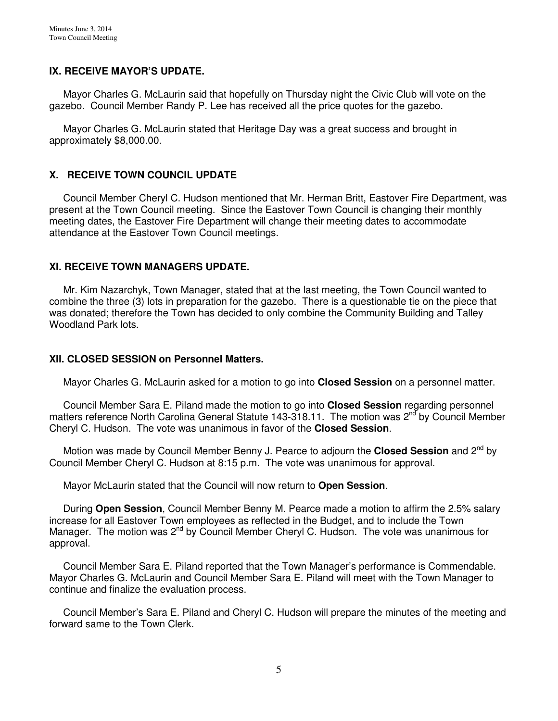## **IX. RECEIVE MAYOR'S UPDATE.**

 Mayor Charles G. McLaurin said that hopefully on Thursday night the Civic Club will vote on the gazebo. Council Member Randy P. Lee has received all the price quotes for the gazebo.

 Mayor Charles G. McLaurin stated that Heritage Day was a great success and brought in approximately \$8,000.00.

## **X. RECEIVE TOWN COUNCIL UPDATE**

 Council Member Cheryl C. Hudson mentioned that Mr. Herman Britt, Eastover Fire Department, was present at the Town Council meeting. Since the Eastover Town Council is changing their monthly meeting dates, the Eastover Fire Department will change their meeting dates to accommodate attendance at the Eastover Town Council meetings.

### **XI. RECEIVE TOWN MANAGERS UPDATE.**

 Mr. Kim Nazarchyk, Town Manager, stated that at the last meeting, the Town Council wanted to combine the three (3) lots in preparation for the gazebo. There is a questionable tie on the piece that was donated; therefore the Town has decided to only combine the Community Building and Talley Woodland Park lots.

#### **XII. CLOSED SESSION on Personnel Matters.**

Mayor Charles G. McLaurin asked for a motion to go into **Closed Session** on a personnel matter.

 Council Member Sara E. Piland made the motion to go into **Closed Session** regarding personnel matters reference North Carolina General Statute 143-318.11. The motion was  $2^{nd}$  by Council Member Cheryl C. Hudson. The vote was unanimous in favor of the **Closed Session**.

Motion was made by Council Member Benny J. Pearce to adjourn the **Closed Session** and 2<sup>nd</sup> by Council Member Cheryl C. Hudson at 8:15 p.m. The vote was unanimous for approval.

Mayor McLaurin stated that the Council will now return to **Open Session**.

 During **Open Session**, Council Member Benny M. Pearce made a motion to affirm the 2.5% salary increase for all Eastover Town employees as reflected in the Budget, and to include the Town Manager. The motion was 2<sup>nd</sup> by Council Member Cheryl C. Hudson. The vote was unanimous for approval.

 Council Member Sara E. Piland reported that the Town Manager's performance is Commendable. Mayor Charles G. McLaurin and Council Member Sara E. Piland will meet with the Town Manager to continue and finalize the evaluation process.

 Council Member's Sara E. Piland and Cheryl C. Hudson will prepare the minutes of the meeting and forward same to the Town Clerk.